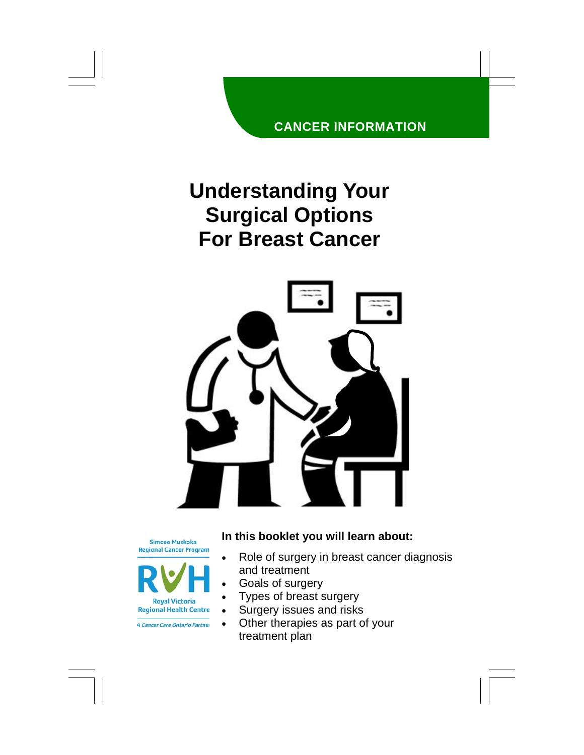#### **CANCER INFORMATION**

# **Understanding Your Surgical Options For Breast Cancer**



**Simcoe Muskoka Regional Cancer Program** 



**4 Cancer Care Ontario Partner** 

#### **In this booklet you will learn about:**

- Role of surgery in breast cancer diagnosis and treatment
- Goals of surgery
- Types of breast surgery
- Surgery issues and risks
- Other therapies as part of your treatment plan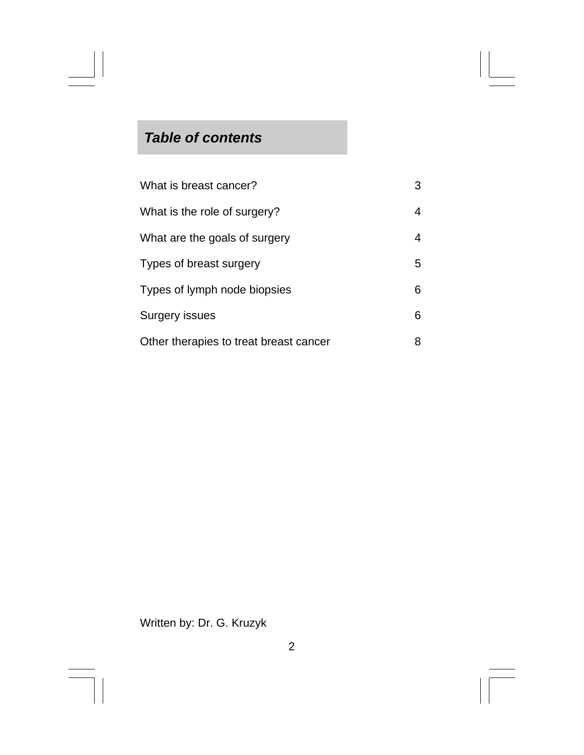# *Table of contents*

| What is breast cancer?                 | 3  |
|----------------------------------------|----|
| What is the role of surgery?           | 4  |
| What are the goals of surgery          | 4  |
| Types of breast surgery                | 5. |
| Types of lymph node biopsies           | 6. |
| <b>Surgery issues</b>                  | 6  |
| Other therapies to treat breast cancer | 8  |

## Written by: Dr. G. Kruzyk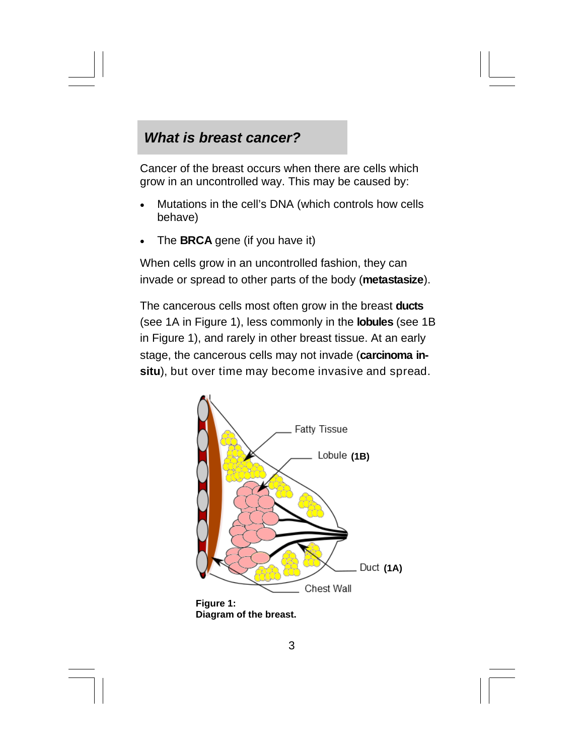### *What is breast cancer?*

Cancer of the breast occurs when there are cells which grow in an uncontrolled way. This may be caused by:

- Mutations in the cell's DNA (which controls how cells behave)
- The **BRCA** gene (if you have it)

When cells grow in an uncontrolled fashion, they can invade or spread to other parts of the body (**metastasize**).

The cancerous cells most often grow in the breast **ducts** (see 1A in Figure 1), less commonly in the **lobules** (see 1B in Figure 1), and rarely in other breast tissue. At an early stage, the cancerous cells may not invade (**carcinoma insitu**), but over time may become invasive and spread.



**Figure 1: Diagram of the breast.**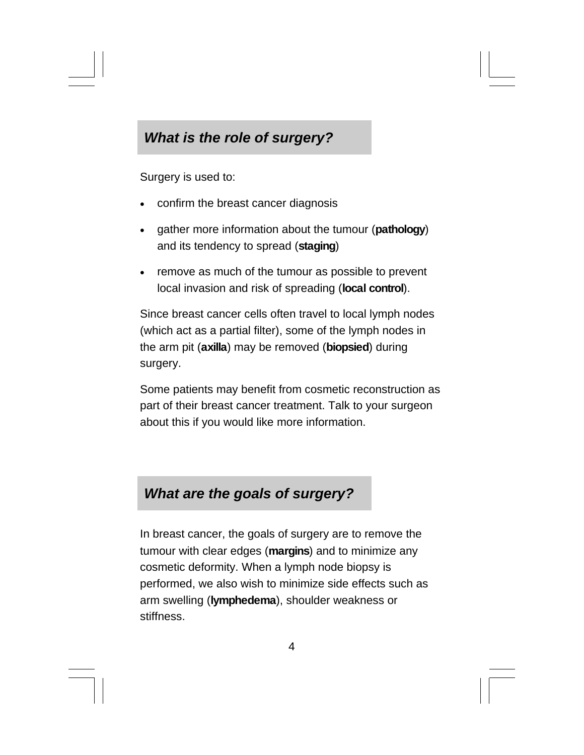## *What is the role of surgery?*

Surgery is used to:

- confirm the breast cancer diagnosis
- gather more information about the tumour (**pathology**) and its tendency to spread (**staging**)
- remove as much of the tumour as possible to prevent local invasion and risk of spreading (**local control**).

Since breast cancer cells often travel to local lymph nodes (which act as a partial filter), some of the lymph nodes in the arm pit (**axilla**) may be removed (**biopsied**) during surgery.

Some patients may benefit from cosmetic reconstruction as part of their breast cancer treatment. Talk to your surgeon about this if you would like more information.

#### *What are the goals of surgery?*

In breast cancer, the goals of surgery are to remove the tumour with clear edges (**margins**) and to minimize any cosmetic deformity. When a lymph node biopsy is performed, we also wish to minimize side effects such as arm swelling (**lymphedema**), shoulder weakness or stiffness.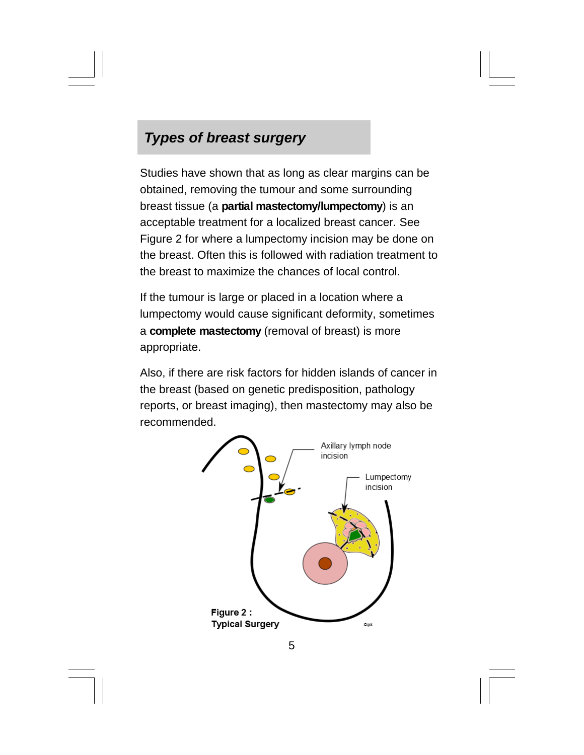# *Types of breast surgery*

Studies have shown that as long as clear margins can be obtained, removing the tumour and some surrounding breast tissue (a **partial mastectomy/lumpectomy**) is an acceptable treatment for a localized breast cancer. See Figure 2 for where a lumpectomy incision may be done on the breast. Often this is followed with radiation treatment to the breast to maximize the chances of local control.

If the tumour is large or placed in a location where a lumpectomy would cause significant deformity, sometimes a **complete mastectomy** (removal of breast) is more appropriate.

Also, if there are risk factors for hidden islands of cancer in the breast (based on genetic predisposition, pathology reports, or breast imaging), then mastectomy may also be recommended.

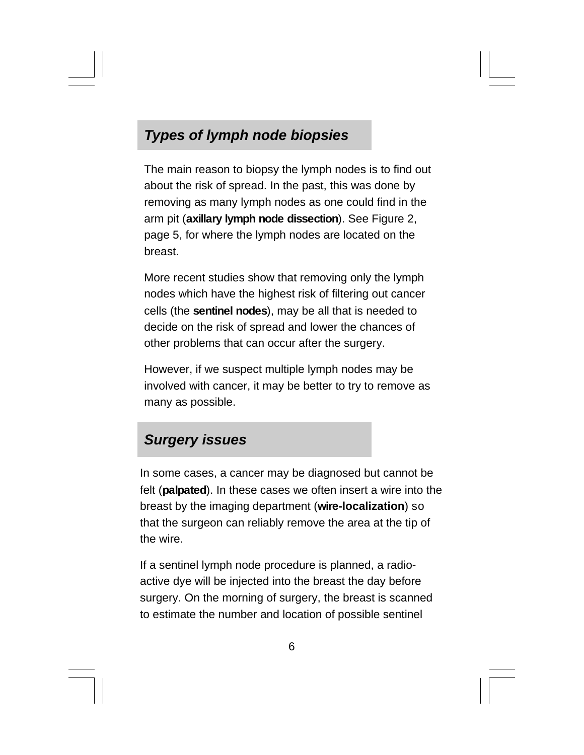# *Types of lymph node biopsies*

The main reason to biopsy the lymph nodes is to find out about the risk of spread. In the past, this was done by removing as many lymph nodes as one could find in the arm pit (**axillary lymph node dissection**). See Figure 2, page 5, for where the lymph nodes are located on the breast.

More recent studies show that removing only the lymph nodes which have the highest risk of filtering out cancer cells (the **sentinel nodes**), may be all that is needed to decide on the risk of spread and lower the chances of other problems that can occur after the surgery.

However, if we suspect multiple lymph nodes may be involved with cancer, it may be better to try to remove as many as possible.

#### *Surgery issues*

In some cases, a cancer may be diagnosed but cannot be felt (**palpated**). In these cases we often insert a wire into the breast by the imaging department (**wire-localization**) so that the surgeon can reliably remove the area at the tip of the wire.

If a sentinel lymph node procedure is planned, a radioactive dye will be injected into the breast the day before surgery. On the morning of surgery, the breast is scanned to estimate the number and location of possible sentinel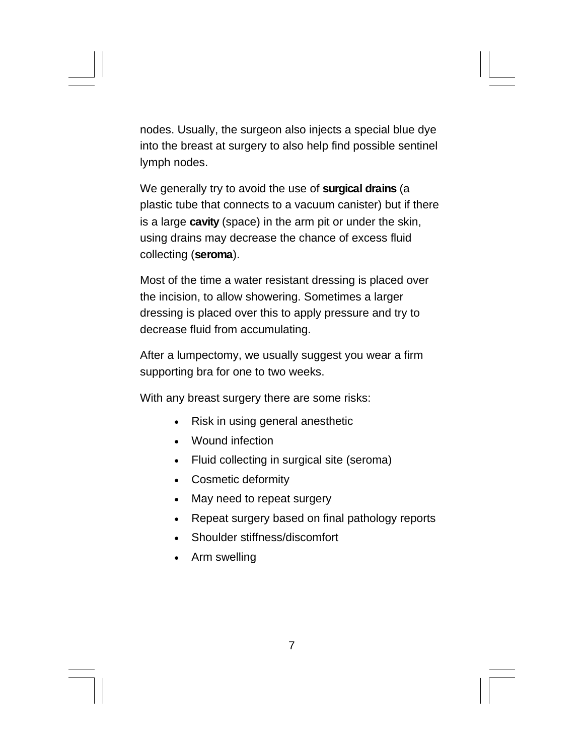nodes. Usually, the surgeon also injects a special blue dye into the breast at surgery to also help find possible sentinel lymph nodes.

We generally try to avoid the use of **surgical drains** (a plastic tube that connects to a vacuum canister) but if there is a large **cavity** (space) in the arm pit or under the skin, using drains may decrease the chance of excess fluid collecting (**seroma**).

Most of the time a water resistant dressing is placed over the incision, to allow showering. Sometimes a larger dressing is placed over this to apply pressure and try to decrease fluid from accumulating.

After a lumpectomy, we usually suggest you wear a firm supporting bra for one to two weeks.

With any breast surgery there are some risks:

- Risk in using general anesthetic
- . Wound infection
- Fluid collecting in surgical site (seroma)
- Cosmetic deformity
- May need to repeat surgery
- Repeat surgery based on final pathology reports
- Shoulder stiffness/discomfort
- Arm swelling